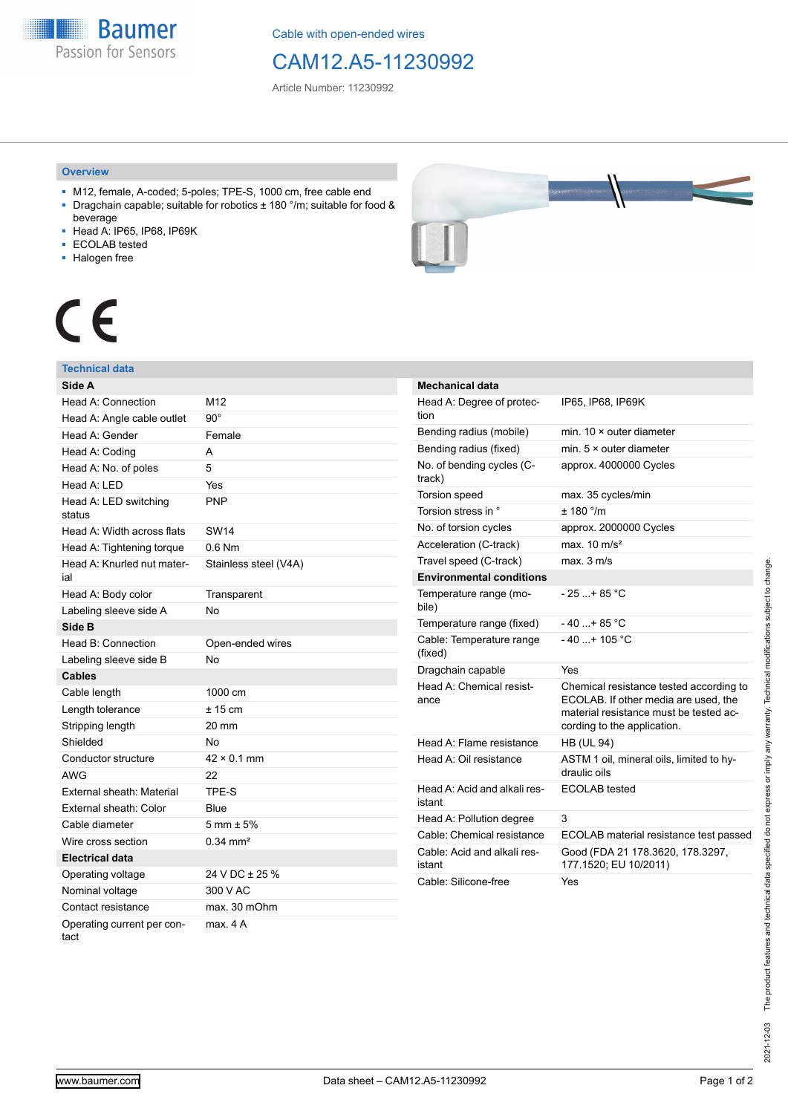**Baumer** Passion for Sensors

Cable with open-ended wires

# CAM12.A5-11230992

Article Number: 11230992

### **Overview**

- M12, female, A-coded; 5-poles; TPE-S, 1000 cm, free cable end ■ Dragchain capable; suitable for robotics ± 180 °/m; suitable for food &
- beverage
- Head A: IP65, IP68, IP69K
- ECOLAB tested
- Halogen free



# CE

## **Technical data**

| Side A                             |                        |
|------------------------------------|------------------------|
| Head A: Connection                 | M12                    |
| Head A: Angle cable outlet         | $90^{\circ}$           |
| Head A: Gender                     | Female                 |
| Head A: Coding                     | A                      |
| Head A: No. of poles               | 5                      |
| Head A: LED                        | Yes                    |
| Head A: LED switching<br>status    | <b>PNP</b>             |
| Head A: Width across flats         | <b>SW14</b>            |
| Head A: Tightening torque          | $0.6$ Nm               |
| Head A: Knurled nut mater-<br>ial  | Stainless steel (V4A)  |
| Head A: Body color                 | Transparent            |
| Labeling sleeve side A             | No                     |
| Side B                             |                        |
| Head B: Connection                 | Open-ended wires       |
| Labeling sleeve side B             | No                     |
| <b>Cables</b>                      |                        |
| Cable length                       | 1000 cm                |
| Length tolerance                   | ± 15 cm                |
| Stripping length                   | 20 mm                  |
| Shielded                           | No                     |
| Conductor structure                | $42 \times 0.1$ mm     |
| <b>AWG</b>                         | 22                     |
| External sheath: Material          | TPE-S                  |
| External sheath: Color             | Blue                   |
| Cable diameter                     | $5 \text{ mm} \pm 5\%$ |
| Wire cross section                 | $0.34 \, \text{mm}^2$  |
| <b>Electrical data</b>             |                        |
| Operating voltage                  | 24 V DC ± 25 %         |
| Nominal voltage                    | 300 V AC               |
| Contact resistance                 | max. 30 mOhm           |
| Operating current per con-<br>tact | max. 4 A               |

| <b>Mechanical data</b>                 |                                                                                                                                                          |
|----------------------------------------|----------------------------------------------------------------------------------------------------------------------------------------------------------|
| Head A: Degree of protec-<br>tion      | IP65, IP68, IP69K                                                                                                                                        |
| Bending radius (mobile)                | min. $10 \times$ outer diameter                                                                                                                          |
| Bending radius (fixed)                 | min. $5 \times$ outer diameter                                                                                                                           |
| No. of bending cycles (C-<br>track)    | approx. 4000000 Cycles                                                                                                                                   |
| <b>Torsion speed</b>                   | max. 35 cycles/min                                                                                                                                       |
| Torsion stress in °                    | ± 180 °/m                                                                                                                                                |
| No. of torsion cycles                  | approx. 2000000 Cycles                                                                                                                                   |
| Acceleration (C-track)                 | max. $10 \text{ m/s}^2$                                                                                                                                  |
| Travel speed (C-track)                 | max. 3 m/s                                                                                                                                               |
| <b>Environmental conditions</b>        |                                                                                                                                                          |
| Temperature range (mo-<br>bile)        | $-25+85 °C$                                                                                                                                              |
| Temperature range (fixed)              | $-40+85$ °C                                                                                                                                              |
| Cable: Temperature range<br>(fixed)    | $-40+105 °C$                                                                                                                                             |
| Dragchain capable                      | Yes                                                                                                                                                      |
| Head A: Chemical resist-<br>ance       | Chemical resistance tested according to<br>ECOLAB. If other media are used, the<br>material resistance must be tested ac-<br>cording to the application. |
| Head A: Flame resistance               | <b>HB (UL 94)</b>                                                                                                                                        |
| Head A: Oil resistance                 | ASTM 1 oil, mineral oils, limited to hy-<br>draulic oils                                                                                                 |
| Head A: Acid and alkali res-<br>istant | <b>ECOLAB</b> tested                                                                                                                                     |
| Head A: Pollution degree               | 3                                                                                                                                                        |
| Cable: Chemical resistance             | ECOLAB material resistance test passed                                                                                                                   |
| Cable: Acid and alkali res-<br>istant  | Good (FDA 21 178.3620, 178.3297,<br>177.1520; EU 10/2011)                                                                                                |
| Cable: Silicone-free                   | Yes                                                                                                                                                      |